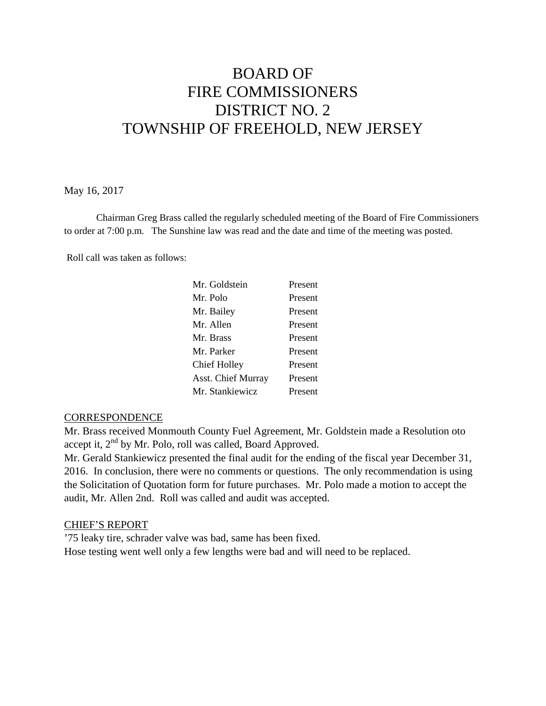# BOARD OF FIRE COMMISSIONERS DISTRICT NO. 2 TOWNSHIP OF FREEHOLD, NEW JERSEY

#### May 16, 2017

Chairman Greg Brass called the regularly scheduled meeting of the Board of Fire Commissioners to order at 7:00 p.m. The Sunshine law was read and the date and time of the meeting was posted.

Roll call was taken as follows:

| Mr. Goldstein             | Present |
|---------------------------|---------|
| Mr. Polo                  | Present |
| Mr. Bailey                | Present |
| Mr. Allen                 | Present |
| Mr. Brass                 | Present |
| Mr. Parker                | Present |
| Chief Holley              | Present |
| <b>Asst. Chief Murray</b> | Present |
| Mr. Stankiewicz           | Present |

#### **CORRESPONDENCE**

Mr. Brass received Monmouth County Fuel Agreement, Mr. Goldstein made a Resolution oto accept it,  $2<sup>nd</sup>$  by Mr. Polo, roll was called, Board Approved.

Mr. Gerald Stankiewicz presented the final audit for the ending of the fiscal year December 31, 2016. In conclusion, there were no comments or questions. The only recommendation is using the Solicitation of Quotation form for future purchases. Mr. Polo made a motion to accept the audit, Mr. Allen 2nd. Roll was called and audit was accepted.

#### CHIEF'S REPORT

'75 leaky tire, schrader valve was bad, same has been fixed. Hose testing went well only a few lengths were bad and will need to be replaced.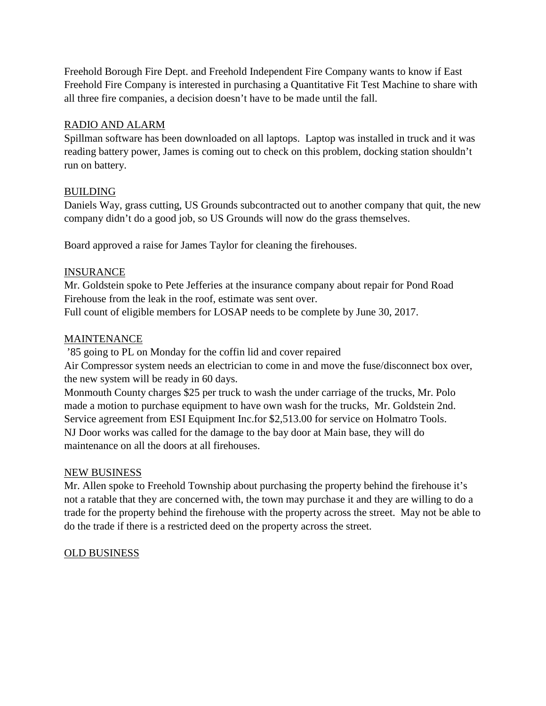Freehold Borough Fire Dept. and Freehold Independent Fire Company wants to know if East Freehold Fire Company is interested in purchasing a Quantitative Fit Test Machine to share with all three fire companies, a decision doesn't have to be made until the fall.

## RADIO AND ALARM

Spillman software has been downloaded on all laptops. Laptop was installed in truck and it was reading battery power, James is coming out to check on this problem, docking station shouldn't run on battery.

## BUILDING

Daniels Way, grass cutting, US Grounds subcontracted out to another company that quit, the new company didn't do a good job, so US Grounds will now do the grass themselves.

Board approved a raise for James Taylor for cleaning the firehouses.

## INSURANCE

Mr. Goldstein spoke to Pete Jefferies at the insurance company about repair for Pond Road Firehouse from the leak in the roof, estimate was sent over.

Full count of eligible members for LOSAP needs to be complete by June 30, 2017.

## MAINTENANCE

'85 going to PL on Monday for the coffin lid and cover repaired

Air Compressor system needs an electrician to come in and move the fuse/disconnect box over, the new system will be ready in 60 days.

Monmouth County charges \$25 per truck to wash the under carriage of the trucks, Mr. Polo made a motion to purchase equipment to have own wash for the trucks, Mr. Goldstein 2nd. Service agreement from ESI Equipment Inc.for \$2,513.00 for service on Holmatro Tools. NJ Door works was called for the damage to the bay door at Main base, they will do maintenance on all the doors at all firehouses.

#### NEW BUSINESS

Mr. Allen spoke to Freehold Township about purchasing the property behind the firehouse it's not a ratable that they are concerned with, the town may purchase it and they are willing to do a trade for the property behind the firehouse with the property across the street. May not be able to do the trade if there is a restricted deed on the property across the street.

# OLD BUSINESS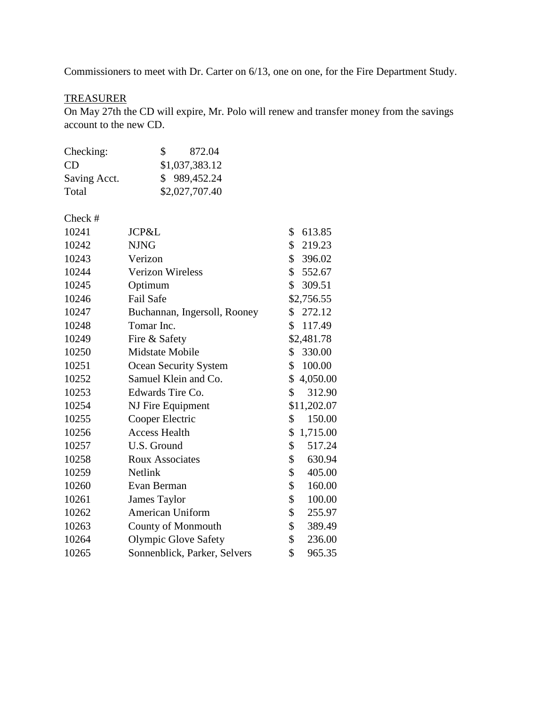Commissioners to meet with Dr. Carter on 6/13, one on one, for the Fire Department Study.

## **TREASURER**

On May 27th the CD will expire, Mr. Polo will renew and transfer money from the savings account to the new CD.

| Checking:    | 872.04<br>SS.  |
|--------------|----------------|
| CD           | \$1,037,383.12 |
| Saving Acct. | \$989,452.24   |
| Total        | \$2,027,707.40 |

#### Check #

| 10241 | JCP&L                        | \$<br>613.85   |
|-------|------------------------------|----------------|
| 10242 | <b>NJNG</b>                  | \$<br>219.23   |
| 10243 | Verizon                      | \$396.02       |
| 10244 | <b>Verizon Wireless</b>      | \$<br>552.67   |
| 10245 | Optimum                      | \$309.51       |
| 10246 | Fail Safe                    | \$2,756.55     |
| 10247 | Buchannan, Ingersoll, Rooney | \$272.12       |
| 10248 | Tomar Inc.                   | 117.49<br>\$   |
| 10249 | Fire & Safety                | \$2,481.78     |
| 10250 | Midstate Mobile              | 330.00<br>\$   |
| 10251 | Ocean Security System        | 100.00<br>\$   |
| 10252 | Samuel Klein and Co.         | \$4,050.00     |
| 10253 | Edwards Tire Co.             | \$<br>312.90   |
| 10254 | NJ Fire Equipment            | \$11,202.07    |
| 10255 | Cooper Electric              | 150.00<br>\$   |
| 10256 | <b>Access Health</b>         | \$<br>1,715.00 |
| 10257 | U.S. Ground                  | \$<br>517.24   |
| 10258 | <b>Roux Associates</b>       | \$<br>630.94   |
| 10259 | <b>Netlink</b>               | \$<br>405.00   |
| 10260 | Evan Berman                  | \$<br>160.00   |
| 10261 | James Taylor                 | \$<br>100.00   |
| 10262 | American Uniform             | \$<br>255.97   |
| 10263 | <b>County of Monmouth</b>    | \$<br>389.49   |
| 10264 | <b>Olympic Glove Safety</b>  | \$<br>236.00   |
| 10265 | Sonnenblick, Parker, Selvers | \$<br>965.35   |